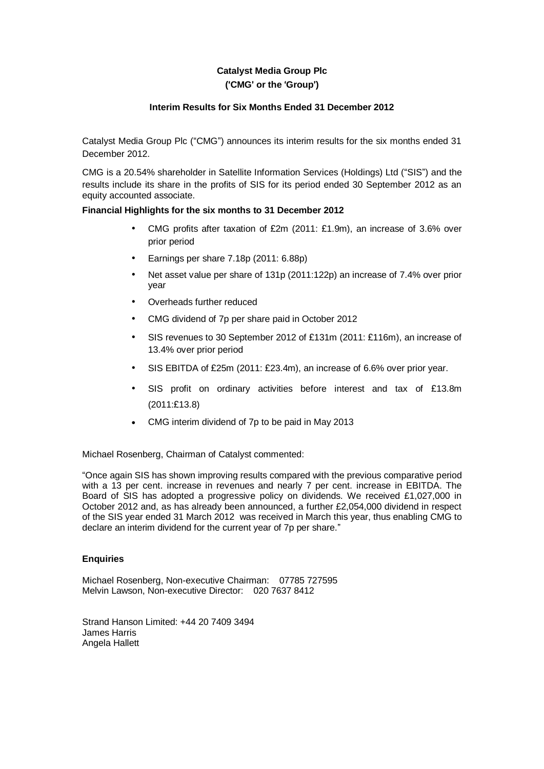# **Catalyst Media Group Plc (**'**CMG**' **or the** '**Group**'**)**

## **Interim Results for Six Months Ended 31 December 2012**

Catalyst Media Group Plc ("CMG") announces its interim results for the six months ended 31 December 2012.

CMG is a 20.54% shareholder in Satellite Information Services (Holdings) Ltd ("SIS") and the results include its share in the profits of SIS for its period ended 30 September 2012 as an equity accounted associate.

## **Financial Highlights for the six months to 31 December 2012**

- CMG profits after taxation of £2m (2011: £1.9m), an increase of 3.6% over prior period
- Earnings per share 7.18p (2011: 6.88p)
- Net asset value per share of 131p (2011:122p) an increase of 7.4% over prior year
- Overheads further reduced
- CMG dividend of 7p per share paid in October 2012
- SIS revenues to 30 September 2012 of £131m (2011: £116m), an increase of 13.4% over prior period
- SIS EBITDA of £25m (2011: £23.4m), an increase of 6.6% over prior year.
- SIS profit on ordinary activities before interest and tax of £13.8m (2011:£13.8)
- CMG interim dividend of 7p to be paid in May 2013

Michael Rosenberg, Chairman of Catalyst commented:

"Once again SIS has shown improving results compared with the previous comparative period with a 13 per cent. increase in revenues and nearly 7 per cent. increase in EBITDA. The Board of SIS has adopted a progressive policy on dividends. We received £1,027,000 in October 2012 and, as has already been announced, a further £2,054,000 dividend in respect of the SIS year ended 31 March 2012 was received in March this year, thus enabling CMG to declare an interim dividend for the current year of 7p per share."

## **Enquiries**

Michael Rosenberg, Non-executive Chairman: 07785 727595 Melvin Lawson, Non-executive Director: 020 7637 8412

Strand Hanson Limited: +44 20 7409 3494 James Harris Angela Hallett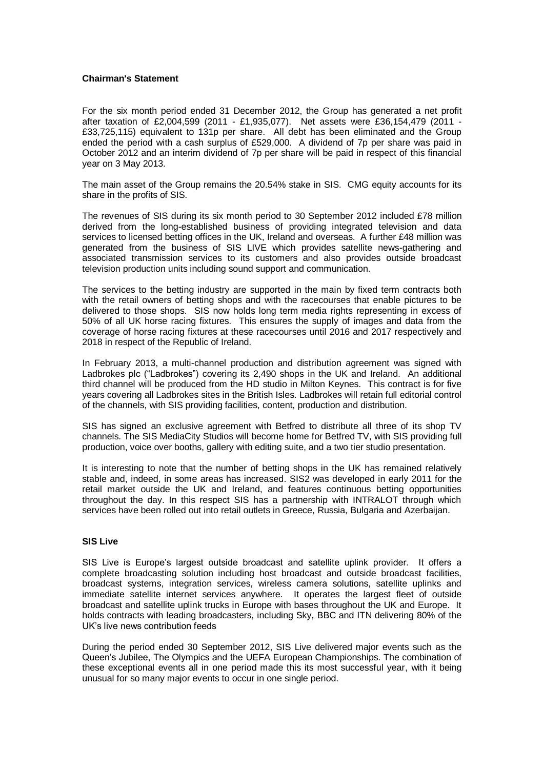## **Chairman**'**s Statement**

For the six month period ended 31 December 2012, the Group has generated a net profit after taxation of £2,004,599 (2011 - £1,935,077). Net assets were £36,154,479 (2011 - £33,725,115) equivalent to 131p per share. All debt has been eliminated and the Group ended the period with a cash surplus of £529,000. A dividend of 7p per share was paid in October 2012 and an interim dividend of 7p per share will be paid in respect of this financial year on 3 May 2013.

The main asset of the Group remains the 20.54% stake in SIS. CMG equity accounts for its share in the profits of SIS.

The revenues of SIS during its six month period to 30 September 2012 included £78 million derived from the long-established business of providing integrated television and data services to licensed betting offices in the UK, Ireland and overseas. A further £48 million was generated from the business of SIS LIVE which provides satellite news-gathering and associated transmission services to its customers and also provides outside broadcast television production units including sound support and communication.

The services to the betting industry are supported in the main by fixed term contracts both with the retail owners of betting shops and with the racecourses that enable pictures to be delivered to those shops. SIS now holds long term media rights representing in excess of 50% of all UK horse racing fixtures. This ensures the supply of images and data from the coverage of horse racing fixtures at these racecourses until 2016 and 2017 respectively and 2018 in respect of the Republic of Ireland.

In February 2013, a multi-channel production and distribution agreement was signed with Ladbrokes plc ("Ladbrokes") covering its 2,490 shops in the UK and Ireland. An additional third channel will be produced from the HD studio in Milton Keynes. This contract is for five years covering all Ladbrokes sites in the British Isles. Ladbrokes will retain full editorial control of the channels, with SIS providing facilities, content, production and distribution.

SIS has signed an exclusive agreement with Betfred to distribute all three of its shop TV channels. The SIS MediaCity Studios will become home for Betfred TV, with SIS providing full production, voice over booths, gallery with editing suite, and a two tier studio presentation.

It is interesting to note that the number of betting shops in the UK has remained relatively stable and, indeed, in some areas has increased. SIS2 was developed in early 2011 for the retail market outside the UK and Ireland, and features continuous betting opportunities throughout the day. In this respect SIS has a partnership with INTRALOT through which services have been rolled out into retail outlets in Greece, Russia, Bulgaria and Azerbaijan.

#### **SIS Live**

SIS Live is Europe's largest outside broadcast and satellite uplink provider. It offers a complete broadcasting solution including host broadcast and outside broadcast facilities, broadcast systems, integration services, wireless camera solutions, satellite uplinks and immediate satellite internet services anywhere. It operates the largest fleet of outside broadcast and satellite uplink trucks in Europe with bases throughout the UK and Europe. It holds contracts with leading broadcasters, including Sky, BBC and ITN delivering 80% of the UK's live news contribution feeds

During the period ended 30 September 2012, SIS Live delivered major events such as the Queen's Jubilee, The Olympics and the UEFA European Championships. The combination of these exceptional events all in one period made this its most successful year, with it being unusual for so many major events to occur in one single period.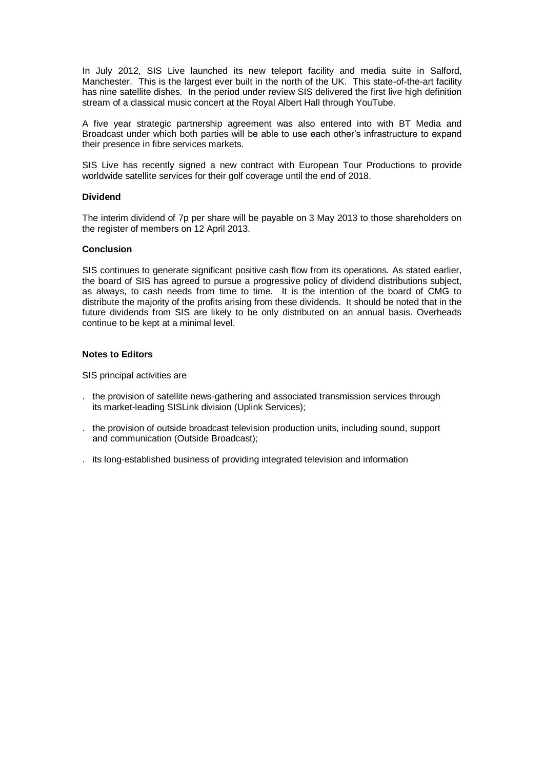In July 2012, SIS Live launched its new teleport facility and media suite in Salford, Manchester. This is the largest ever built in the north of the UK. This state-of-the-art facility has nine satellite dishes. In the period under review SIS delivered the first live high definition stream of a classical music concert at the Royal Albert Hall through YouTube.

A five year strategic partnership agreement was also entered into with BT Media and Broadcast under which both parties will be able to use each other's infrastructure to expand their presence in fibre services markets.

SIS Live has recently signed a new contract with European Tour Productions to provide worldwide satellite services for their golf coverage until the end of 2018.

#### **Dividend**

The interim dividend of 7p per share will be payable on 3 May 2013 to those shareholders on the register of members on 12 April 2013.

#### **Conclusion**

SIS continues to generate significant positive cash flow from its operations. As stated earlier, the board of SIS has agreed to pursue a progressive policy of dividend distributions subject, as always, to cash needs from time to time. It is the intention of the board of CMG to distribute the majority of the profits arising from these dividends. It should be noted that in the future dividends from SIS are likely to be only distributed on an annual basis. Overheads continue to be kept at a minimal level.

#### **Notes to Editors**

SIS principal activities are

- . the provision of satellite news-gathering and associated transmission services through its market-leading SISLink division (Uplink Services);
- . the provision of outside broadcast television production units, including sound, support and communication (Outside Broadcast);
- . its long-established business of providing integrated television and information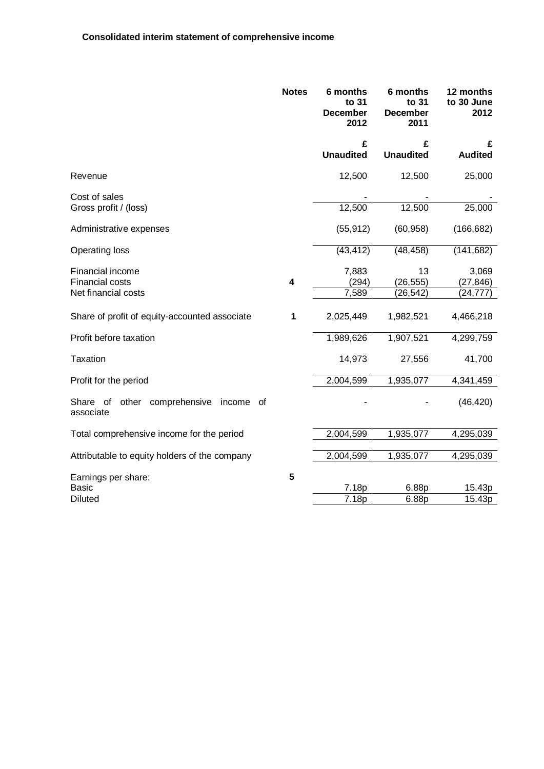|                                                                   | <b>Notes</b>            | 6 months<br>to 31<br><b>December</b><br>2012 | 6 months<br>to 31<br><b>December</b><br>2011 | 12 months<br>to 30 June<br>2012 |
|-------------------------------------------------------------------|-------------------------|----------------------------------------------|----------------------------------------------|---------------------------------|
|                                                                   |                         | £<br><b>Unaudited</b>                        | £<br><b>Unaudited</b>                        | £<br><b>Audited</b>             |
| Revenue                                                           |                         | 12,500                                       | 12,500                                       | 25,000                          |
| Cost of sales<br>Gross profit / (loss)                            |                         | 12,500                                       | 12,500                                       | 25,000                          |
| Administrative expenses                                           |                         | (55, 912)                                    | (60, 958)                                    | (166, 682)                      |
| <b>Operating loss</b>                                             |                         | (43, 412)                                    | (48, 458)                                    | (141, 682)                      |
| Financial income<br><b>Financial costs</b><br>Net financial costs | $\overline{\mathbf{4}}$ | 7,883<br>(294)<br>7,589                      | 13<br>(26, 555)<br>(26, 542)                 | 3,069<br>(27, 846)<br>(24, 777) |
| Share of profit of equity-accounted associate                     | 1                       | 2,025,449                                    | 1,982,521                                    | 4,466,218                       |
| Profit before taxation                                            |                         | 1,989,626                                    | 1,907,521                                    | 4,299,759                       |
| <b>Taxation</b>                                                   |                         | 14,973                                       | 27,556                                       | 41,700                          |
| Profit for the period                                             |                         | 2,004,599                                    | 1,935,077                                    | 4,341,459                       |
| other comprehensive<br>Share of<br>income<br>οf<br>associate      |                         |                                              |                                              | (46, 420)                       |
| Total comprehensive income for the period                         |                         | 2,004,599                                    | 1,935,077                                    | 4,295,039                       |
| Attributable to equity holders of the company                     |                         | 2,004,599                                    | 1,935,077                                    | 4,295,039                       |
| Earnings per share:                                               | 5                       |                                              |                                              |                                 |
| <b>Basic</b><br><b>Diluted</b>                                    |                         | 7.18p<br>7.18p                               | 6.88p<br>6.88p                               | 15.43p<br>15.43p                |
|                                                                   |                         |                                              |                                              |                                 |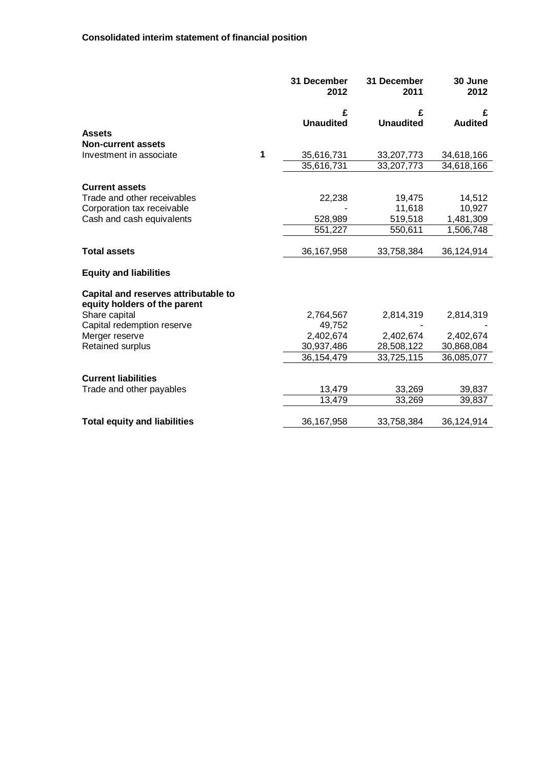|                                                                      |   | 31 December<br>2012   | 31 December<br>2011   | 30 June<br>2012     |
|----------------------------------------------------------------------|---|-----------------------|-----------------------|---------------------|
|                                                                      |   | £<br><b>Unaudited</b> | £<br><b>Unaudited</b> | £<br><b>Audited</b> |
| <b>Assets</b>                                                        |   |                       |                       |                     |
| <b>Non-current assets</b>                                            |   |                       |                       |                     |
| Investment in associate                                              | 1 | 35,616,731            | 33,207,773            | 34,618,166          |
|                                                                      |   | 35,616,731            | 33,207,773            | 34,618,166          |
|                                                                      |   |                       |                       |                     |
| <b>Current assets</b>                                                |   |                       |                       |                     |
| Trade and other receivables                                          |   | 22,238                | 19,475                | 14,512              |
| Corporation tax receivable                                           |   |                       | 11,618                | 10,927              |
| Cash and cash equivalents                                            |   | 528,989               | 519,518               | 1,481,309           |
|                                                                      |   | 551,227               | 550,611               | 1,506,748           |
|                                                                      |   |                       |                       |                     |
| <b>Total assets</b>                                                  |   | 36,167,958            | 33,758,384            | 36,124,914          |
| <b>Equity and liabilities</b>                                        |   |                       |                       |                     |
| Capital and reserves attributable to<br>equity holders of the parent |   |                       |                       |                     |
| Share capital                                                        |   | 2,764,567             | 2,814,319             | 2,814,319           |
| Capital redemption reserve                                           |   | 49,752                |                       |                     |
| Merger reserve                                                       |   | 2,402,674             | 2,402,674             | 2,402,674           |
| <b>Retained surplus</b>                                              |   | 30,937,486            | 28,508,122            | 30,868,084          |
|                                                                      |   | 36, 154, 479          | 33,725,115            | 36,085,077          |
|                                                                      |   |                       |                       |                     |
| <b>Current liabilities</b>                                           |   |                       |                       |                     |
| Trade and other payables                                             |   | 13,479                | 33,269                | 39,837              |
|                                                                      |   | 13,479                | 33,269                | 39,837              |
| <b>Total equity and liabilities</b>                                  |   | 36,167,958            | 33,758,384            | 36,124,914          |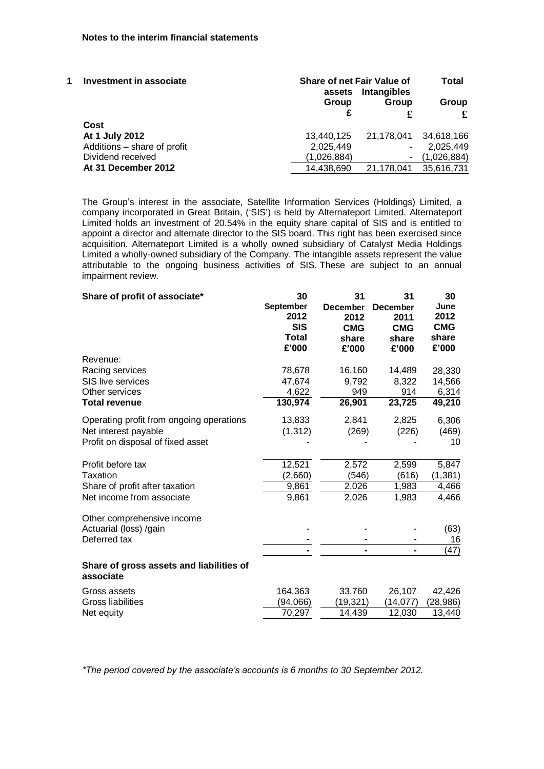| <b>Investment in associate</b> |                             | assets      | <b>Share of net Fair Value of</b><br>Intangibles |             |  |
|--------------------------------|-----------------------------|-------------|--------------------------------------------------|-------------|--|
|                                |                             | Group       | Group                                            | Group       |  |
|                                |                             |             |                                                  | £           |  |
|                                | Cost                        |             |                                                  |             |  |
|                                | At 1 July 2012              | 13,440,125  | 21.178.041                                       | 34.618.166  |  |
|                                | Additions - share of profit | 2,025,449   |                                                  | 2,025,449   |  |
|                                | Dividend received           | (1,026,884) | ۰                                                | (1,026,884) |  |
|                                | At 31 December 2012         | 14,438,690  | 21.178.041                                       | 35,616,731  |  |

The Group's interest in the associate, Satellite Information Services (Holdings) Limited, a company incorporated in Great Britain, ('SIS') is held by Alternateport Limited. Alternateport Limited holds an investment of 20.54% in the equity share capital of SIS and is entitled to appoint a director and alternate director to the SIS board. This right has been exercised since acquisition. Alternateport Limited is a wholly owned subsidiary of Catalyst Media Holdings Limited a wholly-owned subsidiary of the Company. The intangible assets represent the value attributable to the ongoing business activities of SIS. These are subject to an annual impairment review.

| Share of profit of associate*                         | 30<br><b>September</b><br>2012<br><b>SIS</b><br>Total<br>£'000 | 31<br><b>December</b><br>2012<br><b>CMG</b><br>share<br>£'000 | 31<br><b>December</b><br>2011<br><b>CMG</b><br>share<br>£'000 | 30<br>June<br>2012<br><b>CMG</b><br>share<br>£'000 |
|-------------------------------------------------------|----------------------------------------------------------------|---------------------------------------------------------------|---------------------------------------------------------------|----------------------------------------------------|
| Revenue:                                              |                                                                |                                                               |                                                               |                                                    |
| Racing services                                       | 78,678                                                         | 16,160                                                        | 14,489                                                        | 28,330                                             |
| SIS live services                                     | 47,674                                                         | 9,792                                                         | 8,322                                                         | 14,566                                             |
| Other services                                        | 4,622                                                          | 949                                                           | 914                                                           | 6,314                                              |
| <b>Total revenue</b>                                  | 130,974                                                        | 26,901                                                        | 23,725                                                        | 49,210                                             |
| Operating profit from ongoing operations              | 13,833                                                         | 2,841                                                         | 2,825                                                         | 6,306                                              |
| Net interest payable                                  | (1, 312)                                                       | (269)                                                         | (226)                                                         | (469)                                              |
| Profit on disposal of fixed asset                     |                                                                |                                                               |                                                               | 10                                                 |
| Profit before tax                                     | 12,521                                                         | 2,572                                                         | 2,599                                                         | 5,847                                              |
| Taxation                                              | (2,660)                                                        | (546)                                                         | (616)                                                         | (1, 381)                                           |
| Share of profit after taxation                        | 9,861                                                          | 2,026                                                         | 1,983                                                         | 4,466                                              |
| Net income from associate                             | 9,861                                                          | 2,026                                                         | 1,983                                                         | 4,466                                              |
| Other comprehensive income                            |                                                                |                                                               |                                                               |                                                    |
| Actuarial (loss) /gain                                |                                                                |                                                               |                                                               | (63)                                               |
| Deferred tax                                          |                                                                |                                                               |                                                               | 16                                                 |
|                                                       |                                                                |                                                               | $\blacksquare$                                                | (47)                                               |
| Share of gross assets and liabilities of<br>associate |                                                                |                                                               |                                                               |                                                    |
| Gross assets                                          | 164,363                                                        | 33,760                                                        | 26,107                                                        | 42,426                                             |
| <b>Gross liabilities</b>                              | (94,066)                                                       | (19, 321)                                                     | (14, 077)                                                     | (28, 986)                                          |
| Net equity                                            | 70,297                                                         | 14,439                                                        | 12,030                                                        | 13,440                                             |
|                                                       |                                                                |                                                               |                                                               |                                                    |

*\*The period covered by the associate's accounts is 6 months to 30 September 2012.*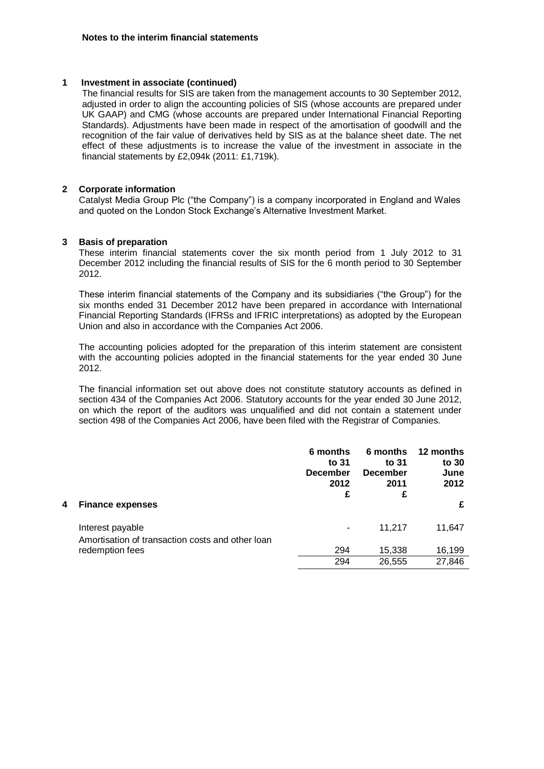#### **1 Investment in associate (continued)**

The financial results for SIS are taken from the management accounts to 30 September 2012, adjusted in order to align the accounting policies of SIS (whose accounts are prepared under UK GAAP) and CMG (whose accounts are prepared under International Financial Reporting Standards). Adjustments have been made in respect of the amortisation of goodwill and the recognition of the fair value of derivatives held by SIS as at the balance sheet date. The net effect of these adjustments is to increase the value of the investment in associate in the financial statements by £2,094k (2011: £1,719k).

## **2 Corporate information**

Catalyst Media Group Plc ("the Company") is a company incorporated in England and Wales and quoted on the London Stock Exchange's Alternative Investment Market.

## **3 Basis of preparation**

These interim financial statements cover the six month period from 1 July 2012 to 31 December 2012 including the financial results of SIS for the 6 month period to 30 September 2012.

These interim financial statements of the Company and its subsidiaries ("the Group") for the six months ended 31 December 2012 have been prepared in accordance with International Financial Reporting Standards (IFRSs and IFRIC interpretations) as adopted by the European Union and also in accordance with the Companies Act 2006.

The accounting policies adopted for the preparation of this interim statement are consistent with the accounting policies adopted in the financial statements for the year ended 30 June 2012.

The financial information set out above does not constitute statutory accounts as defined in section 434 of the Companies Act 2006. Statutory accounts for the year ended 30 June 2012, on which the report of the auditors was unqualified and did not contain a statement under section 498 of the Companies Act 2006, have been filed with the Registrar of Companies.

|   |                                                                      | 6 months<br>to 31<br><b>December</b><br>2012<br>£ | 6 months<br>to 31<br><b>December</b><br>2011<br>£ | 12 months<br>to 30<br>June<br>2012 |
|---|----------------------------------------------------------------------|---------------------------------------------------|---------------------------------------------------|------------------------------------|
| 4 | <b>Finance expenses</b>                                              |                                                   |                                                   | £                                  |
|   | Interest payable<br>Amortisation of transaction costs and other loan | $\overline{\phantom{0}}$                          | 11.217                                            | 11,647                             |
|   | redemption fees                                                      | 294                                               | 15,338                                            | 16,199                             |
|   |                                                                      | 294                                               | 26,555                                            | 27,846                             |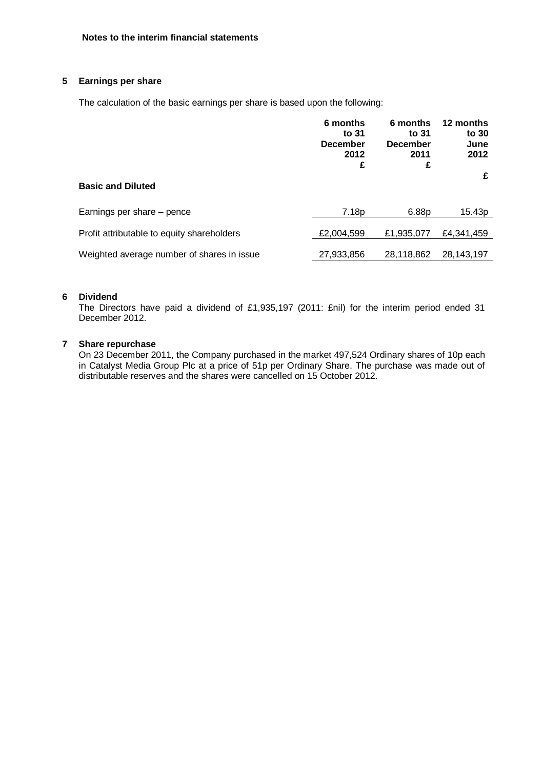## **5 Earnings per share**

The calculation of the basic earnings per share is based upon the following:

|                                            | 6 months<br>to 31<br><b>December</b><br>2012<br>£ | 6 months<br>to 31<br><b>December</b><br>2011<br>£ | 12 months<br>to 30<br>June<br>2012 |  |
|--------------------------------------------|---------------------------------------------------|---------------------------------------------------|------------------------------------|--|
| <b>Basic and Diluted</b>                   |                                                   |                                                   | £                                  |  |
| Earnings per share – pence                 | 7.18p                                             | 6.88p                                             | 15.43p                             |  |
| Profit attributable to equity shareholders | £2,004,599                                        | £1,935,077                                        | £4,341,459                         |  |
| Weighted average number of shares in issue | 27,933,856                                        | 28,118,862                                        | 28, 143, 197                       |  |

## **6 Dividend**

The Directors have paid a dividend of £1,935,197 (2011: £nil) for the interim period ended 31 December 2012.

## **7 Share repurchase**

On 23 December 2011, the Company purchased in the market 497,524 Ordinary shares of 10p each in Catalyst Media Group Plc at a price of 51p per Ordinary Share. The purchase was made out of distributable reserves and the shares were cancelled on 15 October 2012.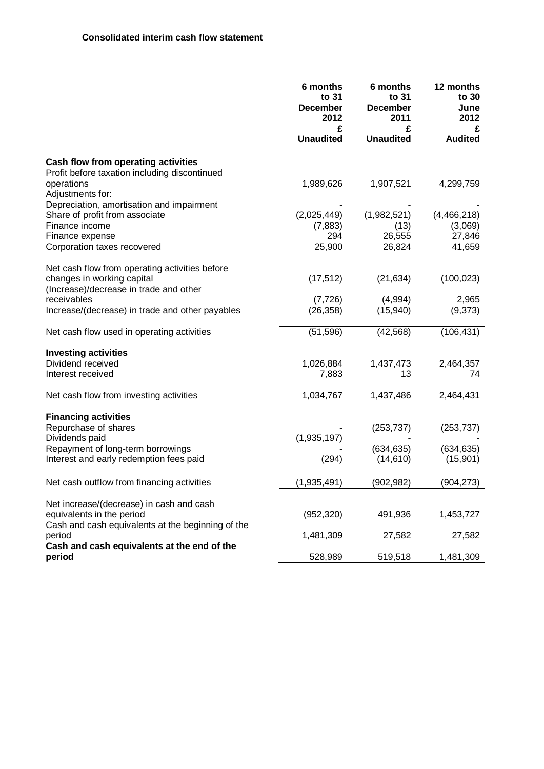|                                                                                      | 6 months<br>to 31<br><b>December</b><br>2012<br>£ | 6 months<br>to 31<br><b>December</b><br>2011<br>£ | 12 months<br>to 30<br>June<br>2012<br>£ |
|--------------------------------------------------------------------------------------|---------------------------------------------------|---------------------------------------------------|-----------------------------------------|
|                                                                                      | <b>Unaudited</b>                                  | <b>Unaudited</b>                                  | <b>Audited</b>                          |
| Cash flow from operating activities<br>Profit before taxation including discontinued |                                                   |                                                   |                                         |
| operations<br>Adjustments for:                                                       | 1,989,626                                         | 1,907,521                                         | 4,299,759                               |
| Depreciation, amortisation and impairment                                            |                                                   |                                                   |                                         |
| Share of profit from associate<br>Finance income                                     | (2,025,449)                                       | (1,982,521)                                       | (4, 466, 218)                           |
| Finance expense                                                                      | (7, 883)<br>294                                   | (13)<br>26,555                                    | (3,069)<br>27,846                       |
| Corporation taxes recovered                                                          | 25,900                                            | 26,824                                            | 41,659                                  |
|                                                                                      |                                                   |                                                   |                                         |
| Net cash flow from operating activities before                                       |                                                   |                                                   |                                         |
| changes in working capital                                                           | (17, 512)                                         | (21, 634)                                         | (100, 023)                              |
| (Increase)/decrease in trade and other<br>receivables                                | (7, 726)                                          | (4,994)                                           | 2,965                                   |
| Increase/(decrease) in trade and other payables                                      | (26, 358)                                         | (15, 940)                                         | (9,373)                                 |
|                                                                                      |                                                   |                                                   |                                         |
| Net cash flow used in operating activities                                           | (51, 596)                                         | (42, 568)                                         | (106,431)                               |
| <b>Investing activities</b>                                                          |                                                   |                                                   |                                         |
| Dividend received                                                                    | 1,026,884                                         | 1,437,473                                         | 2,464,357                               |
| Interest received                                                                    | 7,883                                             | 13                                                | 74                                      |
|                                                                                      |                                                   |                                                   |                                         |
| Net cash flow from investing activities                                              | 1,034,767                                         | 1,437,486                                         | 2,464,431                               |
| <b>Financing activities</b>                                                          |                                                   |                                                   |                                         |
| Repurchase of shares                                                                 |                                                   | (253, 737)                                        | (253, 737)                              |
| Dividends paid                                                                       | (1,935,197)                                       |                                                   |                                         |
| Repayment of long-term borrowings                                                    |                                                   | (634, 635)                                        | (634, 635)                              |
| Interest and early redemption fees paid                                              | (294)                                             | (14, 610)                                         | (15,901)                                |
| Net cash outflow from financing activities                                           | (1,935,491)                                       | (902, 982)                                        | (904,273)                               |
|                                                                                      |                                                   |                                                   |                                         |
| Net increase/(decrease) in cash and cash                                             |                                                   |                                                   |                                         |
| equivalents in the period                                                            | (952, 320)                                        | 491,936                                           | 1,453,727                               |
| Cash and cash equivalents at the beginning of the<br>period                          | 1,481,309                                         | 27,582                                            | 27,582                                  |
| Cash and cash equivalents at the end of the                                          |                                                   |                                                   |                                         |
| period                                                                               | 528,989                                           | 519,518                                           | 1,481,309                               |
|                                                                                      |                                                   |                                                   |                                         |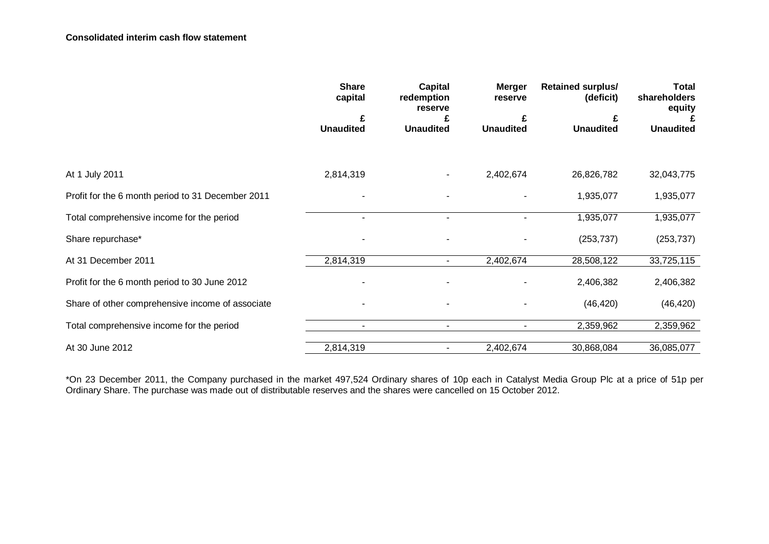|                                                   | <b>Share</b><br>capital | <b>Capital</b><br>redemption<br>reserve | <b>Merger</b><br>reserve | <b>Retained surplus/</b><br>(deficit) | <b>Total</b><br>shareholders<br>equity |
|---------------------------------------------------|-------------------------|-----------------------------------------|--------------------------|---------------------------------------|----------------------------------------|
|                                                   | £                       | £                                       | £                        | £                                     |                                        |
|                                                   | <b>Unaudited</b>        | <b>Unaudited</b>                        | <b>Unaudited</b>         | <b>Unaudited</b>                      | <b>Unaudited</b>                       |
|                                                   |                         |                                         |                          |                                       |                                        |
| At 1 July 2011                                    | 2,814,319               |                                         | 2,402,674                | 26,826,782                            | 32,043,775                             |
| Profit for the 6 month period to 31 December 2011 |                         |                                         |                          | 1,935,077                             | 1,935,077                              |
| Total comprehensive income for the period         | $\blacksquare$          |                                         |                          | 1,935,077                             | 1,935,077                              |
| Share repurchase*                                 |                         |                                         |                          | (253, 737)                            | (253, 737)                             |
| At 31 December 2011                               | 2,814,319               |                                         | 2,402,674                | 28,508,122                            | 33,725,115                             |
| Profit for the 6 month period to 30 June 2012     |                         |                                         |                          | 2,406,382                             | 2,406,382                              |
| Share of other comprehensive income of associate  |                         |                                         |                          | (46, 420)                             | (46, 420)                              |
| Total comprehensive income for the period         | $\blacksquare$          | $\blacksquare$                          | $\blacksquare$           | 2,359,962                             | 2,359,962                              |
| At 30 June 2012                                   | 2,814,319               | $\blacksquare$                          | 2,402,674                | 30,868,084                            | 36,085,077                             |

\*On 23 December 2011, the Company purchased in the market 497,524 Ordinary shares of 10p each in Catalyst Media Group Plc at a price of 51p per Ordinary Share. The purchase was made out of distributable reserves and the shares were cancelled on 15 October 2012.